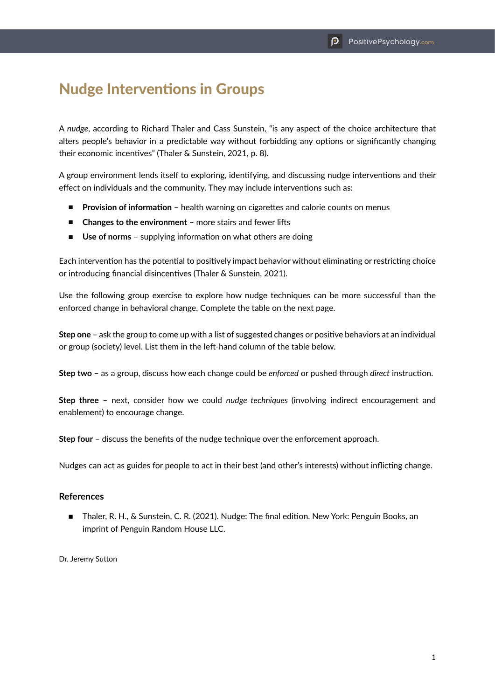## Nudge Interventions in Groups

A *nudge*, according to Richard Thaler and Cass Sunstein, "is any aspect of the choice architecture that alters people's behavior in a predictable way without forbidding any options or significantly changing their economic incentives" (Thaler & Sunstein, 2021, p. 8).

A group environment lends itself to exploring, identifying, and discussing nudge interventions and their effect on individuals and the community. They may include interventions such as:

- **Provision of information** health warning on cigarettes and calorie counts on menus
- **Changes to the environment** more stairs and fewer lifts
- Use of norms supplying information on what others are doing

Each intervention has the potential to positively impact behavior without eliminating or restricting choice or introducing financial disincentives (Thaler & Sunstein, 2021).

Use the following group exercise to explore how nudge techniques can be more successful than the enforced change in behavioral change. Complete the table on the next page.

**Step one** – ask the group to come up with a list of suggested changes or positive behaviors at an individual or group (society) level. List them in the left-hand column of the table below.

**Step two** – as a group, discuss how each change could be *enforced* or pushed through *direct* instruction.

**Step three** – next, consider how we could *nudge techniques* (involving indirect encouragement and enablement) to encourage change.

**Step four** – discuss the benefits of the nudge technique over the enforcement approach.

Nudges can act as guides for people to act in their best (and other's interests) without inflicting change.

## **References**

■ Thaler, R. H., & Sunstein, C. R. (2021). Nudge: The final edition. New York: Penguin Books, an imprint of Penguin Random House LLC.

Dr. Jeremy Sutton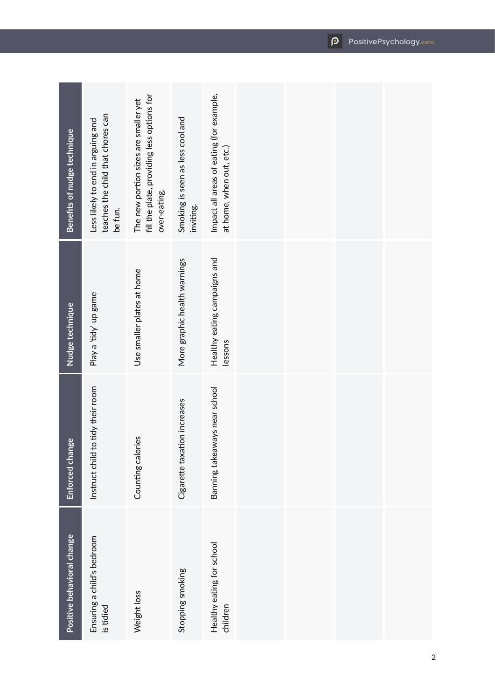| Positive behavioral change              | Enforced change                   | Nudge technique                         | <b>Benefits of nudge technique</b>                                                                  |
|-----------------------------------------|-----------------------------------|-----------------------------------------|-----------------------------------------------------------------------------------------------------|
| Ensuring a child's bedroom<br>is tidied | Instruct child to tidy their room | Play a 'tidy' up game                   | teaches the child that chores can<br>Less likely to end in arguing and<br>be fun.                   |
| Weight loss                             | Counting calories                 | Use smaller plates at home              | fill the plate, providing less options for<br>The new portion sizes are smaller yet<br>over-eating. |
| Stopping smoking                        | Cigarette taxation increases      | More graphic health warnings            | Smoking is seen as less cool and<br>inviting.                                                       |
| Healthy eating for school<br>children   | Banning takeaways near school     | Healthy eating campaigns and<br>lessons | Impact all areas of eating (for example,<br>at home, when out, etc.)                                |
|                                         |                                   |                                         |                                                                                                     |
|                                         |                                   |                                         |                                                                                                     |
|                                         |                                   |                                         |                                                                                                     |
|                                         |                                   |                                         |                                                                                                     |